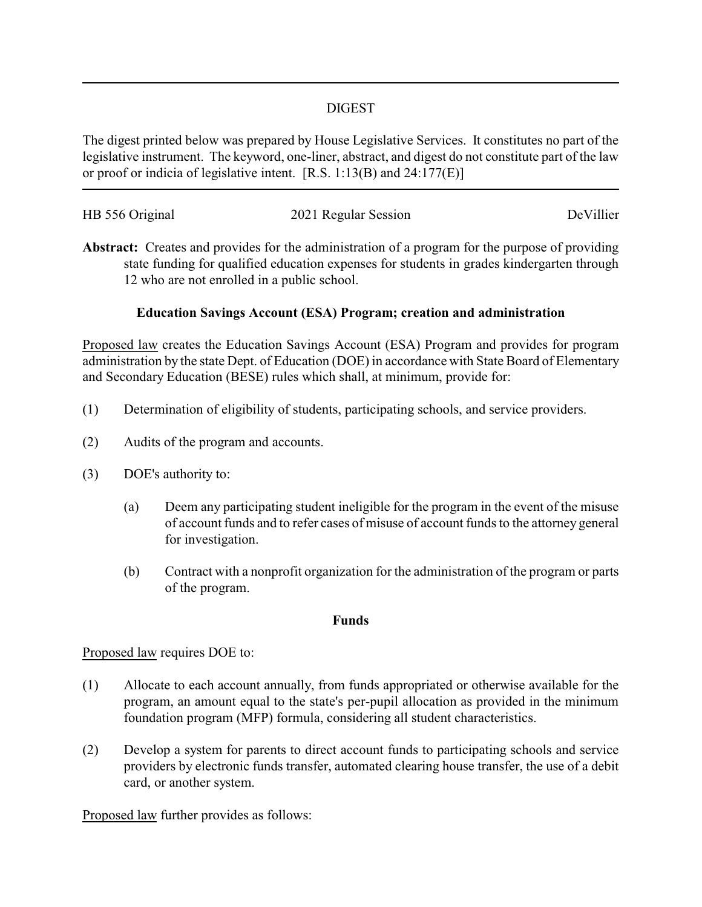### DIGEST

The digest printed below was prepared by House Legislative Services. It constitutes no part of the legislative instrument. The keyword, one-liner, abstract, and digest do not constitute part of the law or proof or indicia of legislative intent. [R.S. 1:13(B) and 24:177(E)]

| HB 556 Original | 2021 Regular Session | DeVillier |
|-----------------|----------------------|-----------|
|                 |                      |           |

**Abstract:** Creates and provides for the administration of a program for the purpose of providing state funding for qualified education expenses for students in grades kindergarten through 12 who are not enrolled in a public school.

# **Education Savings Account (ESA) Program; creation and administration**

Proposed law creates the Education Savings Account (ESA) Program and provides for program administration by the state Dept. of Education (DOE) in accordance with State Board of Elementary and Secondary Education (BESE) rules which shall, at minimum, provide for:

- (1) Determination of eligibility of students, participating schools, and service providers.
- (2) Audits of the program and accounts.
- (3) DOE's authority to:
	- (a) Deem any participating student ineligible for the program in the event of the misuse of account funds and to refer cases of misuse of account funds to the attorney general for investigation.
	- (b) Contract with a nonprofit organization for the administration of the program or parts of the program.

#### **Funds**

#### Proposed law requires DOE to:

- (1) Allocate to each account annually, from funds appropriated or otherwise available for the program, an amount equal to the state's per-pupil allocation as provided in the minimum foundation program (MFP) formula, considering all student characteristics.
- (2) Develop a system for parents to direct account funds to participating schools and service providers by electronic funds transfer, automated clearing house transfer, the use of a debit card, or another system.

Proposed law further provides as follows: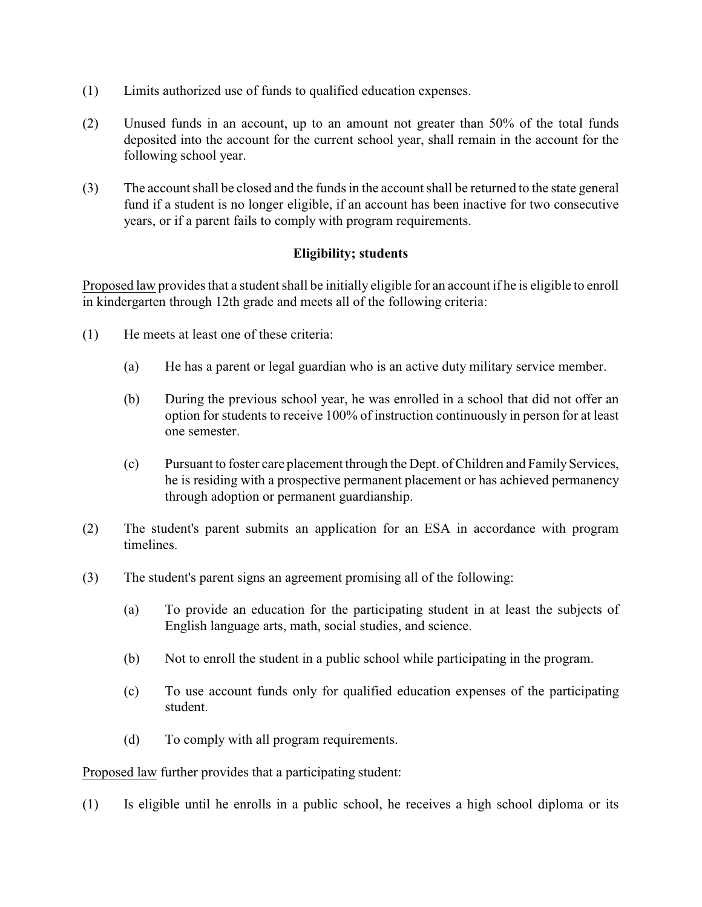- (1) Limits authorized use of funds to qualified education expenses.
- (2) Unused funds in an account, up to an amount not greater than 50% of the total funds deposited into the account for the current school year, shall remain in the account for the following school year.
- (3) The account shall be closed and the funds in the account shall be returned to the state general fund if a student is no longer eligible, if an account has been inactive for two consecutive years, or if a parent fails to comply with program requirements.

# **Eligibility; students**

Proposed law provides that a student shall be initially eligible for an account if he is eligible to enroll in kindergarten through 12th grade and meets all of the following criteria:

- (1) He meets at least one of these criteria:
	- (a) He has a parent or legal guardian who is an active duty military service member.
	- (b) During the previous school year, he was enrolled in a school that did not offer an option for students to receive 100% of instruction continuously in person for at least one semester.
	- (c) Pursuant to foster care placement through the Dept. of Children and Family Services, he is residing with a prospective permanent placement or has achieved permanency through adoption or permanent guardianship.
- (2) The student's parent submits an application for an ESA in accordance with program timelines.
- (3) The student's parent signs an agreement promising all of the following:
	- (a) To provide an education for the participating student in at least the subjects of English language arts, math, social studies, and science.
	- (b) Not to enroll the student in a public school while participating in the program.
	- (c) To use account funds only for qualified education expenses of the participating student.
	- (d) To comply with all program requirements.

Proposed law further provides that a participating student:

(1) Is eligible until he enrolls in a public school, he receives a high school diploma or its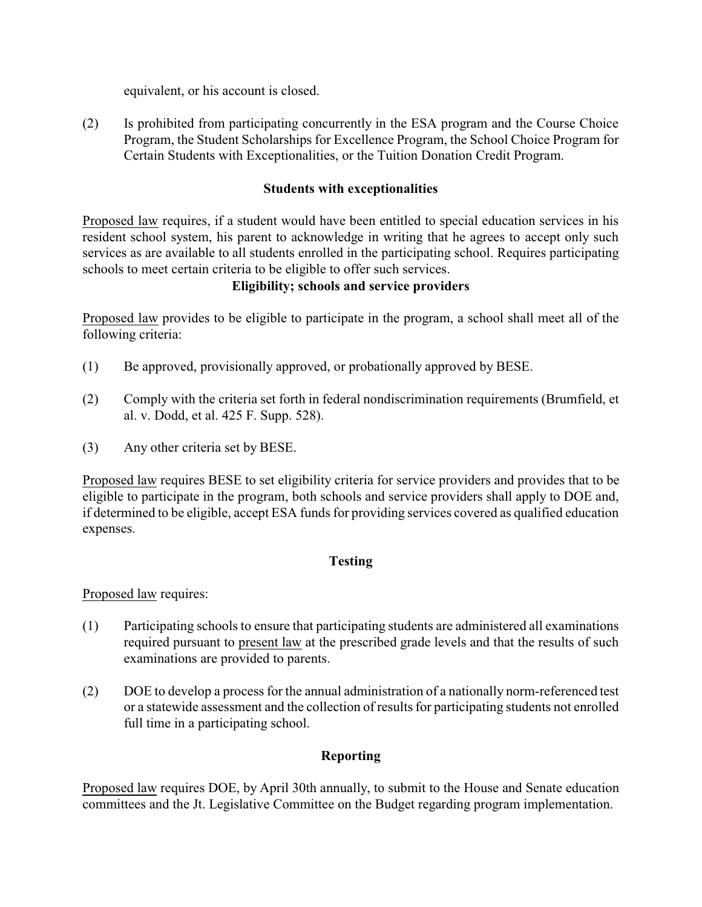equivalent, or his account is closed.

(2) Is prohibited from participating concurrently in the ESA program and the Course Choice Program, the Student Scholarships for Excellence Program, the School Choice Program for Certain Students with Exceptionalities, or the Tuition Donation Credit Program.

### **Students with exceptionalities**

Proposed law requires, if a student would have been entitled to special education services in his resident school system, his parent to acknowledge in writing that he agrees to accept only such services as are available to all students enrolled in the participating school. Requires participating schools to meet certain criteria to be eligible to offer such services.

#### **Eligibility; schools and service providers**

Proposed law provides to be eligible to participate in the program, a school shall meet all of the following criteria:

- (1) Be approved, provisionally approved, or probationally approved by BESE.
- (2) Comply with the criteria set forth in federal nondiscrimination requirements (Brumfield, et al. v. Dodd, et al. 425 F. Supp. 528).
- (3) Any other criteria set by BESE.

Proposed law requires BESE to set eligibility criteria for service providers and provides that to be eligible to participate in the program, both schools and service providers shall apply to DOE and, if determined to be eligible, accept ESA funds for providing services covered as qualified education expenses.

# **Testing**

Proposed law requires:

- (1) Participating schools to ensure that participating students are administered all examinations required pursuant to present law at the prescribed grade levels and that the results of such examinations are provided to parents.
- (2) DOE to develop a process for the annual administration of a nationally norm-referenced test or a statewide assessment and the collection of results for participating students not enrolled full time in a participating school.

# **Reporting**

Proposed law requires DOE, by April 30th annually, to submit to the House and Senate education committees and the Jt. Legislative Committee on the Budget regarding program implementation.